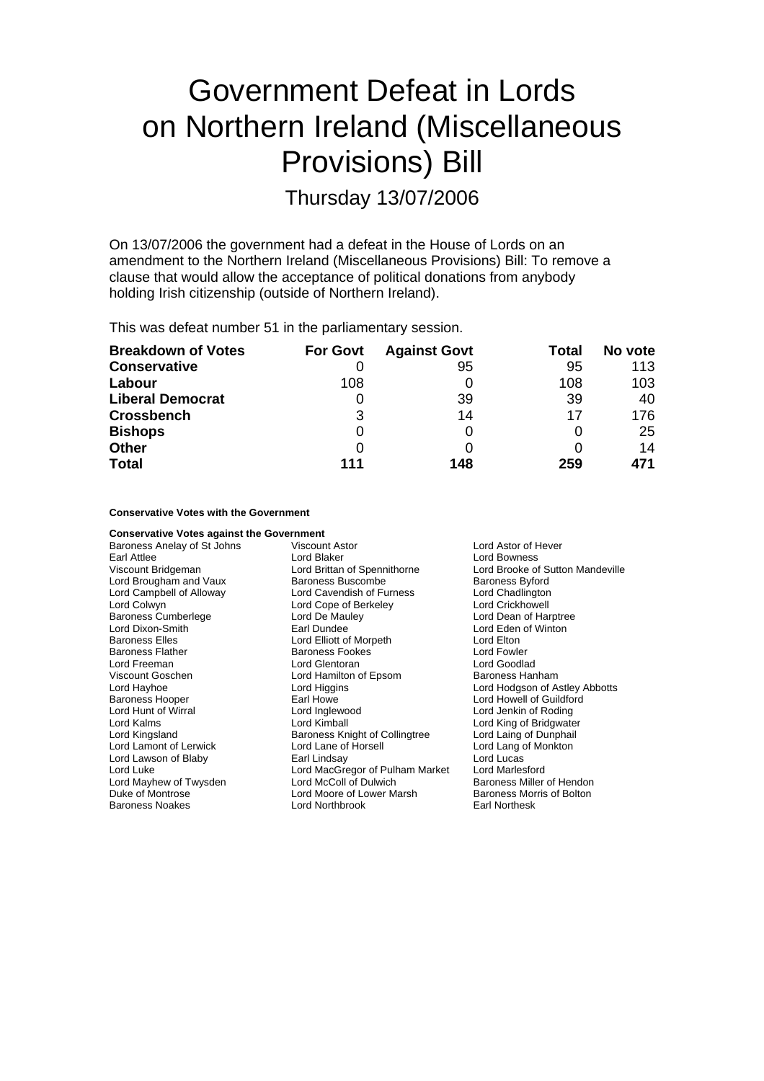# Government Defeat in Lords on Northern Ireland (Miscellaneous Provisions) Bill

Thursday 13/07/2006

On 13/07/2006 the government had a defeat in the House of Lords on an amendment to the Northern Ireland (Miscellaneous Provisions) Bill: To remove a clause that would allow the acceptance of political donations from anybody holding Irish citizenship (outside of Northern Ireland).

This was defeat number 51 in the parliamentary session.

| <b>Breakdown of Votes</b> | <b>For Govt</b> | <b>Against Govt</b> | Total | No vote |
|---------------------------|-----------------|---------------------|-------|---------|
| <b>Conservative</b>       |                 | 95                  | 95    | 113     |
| Labour                    | 108             |                     | 108   | 103     |
| <b>Liberal Democrat</b>   |                 | 39                  | 39    | 40      |
| <b>Crossbench</b>         | 3               | 14                  | 17    | 176     |
| <b>Bishops</b>            | 0               |                     |       | 25      |
| <b>Other</b>              | 0               |                     |       | 14      |
| <b>Total</b>              | 111             | 148                 | 259   | 471     |

### **Conservative Votes with the Government**

**Conservative Votes against the Government**<br>Baroness Anelay of St Johns **Wiscount Astor** Baroness Anelay of St Johns Viscount Astor Controller Lord Astor of Hever Earl Attlee Lord Bowness<br>
Lord Bowness<br>
Lord Brittan of Spennithorne Lord Brooke of Lord Brittan of Spennithorne Lord Brooke of Sutton Mandeville<br>
Baroness Buscombe Baroness Byford Lord Brougham and Vaux Lord Campbell of Alloway **Lord Cavendish of Furness** Lord Chadlington Lord Colwyn Lord Cope of Berkeley Corporation Lord Crickhowell<br>
Lord Caroness Cumberlege Corporation Lord De Mauley Corporation Lord Dean of Har Baroness Cumberlege Lord De Mauley Lord Dean of Harptree<br>
Lord Dixon-Smith Carl Dundee Lord Dean of Winton Earl Dundee Lord Eden of Winton Baroness Elles **Lord Elliott** of Morpeth **Lord Elton**<br>
Baroness Flather **Container Baroness Fookes Lord Fowler** Baroness Flather The Baroness Fookes Controller Hord Fowler<br>Cord Freeman Lord Glentoran Lord Goodlad Lord Goodlad Lord Glentoran Viscount Goschen **National Example 2** Lord Hamilton of Epsom **Baroness Hanham** Lord Hayhoe Lord Higgins Lord Hodgson of Astley Abbotts Baroness Hooper Earl Howe Lord Howell of Guildford Lord Hunt of Wirral **Lord Inglewood Lord Lord Lord Jenkin of Roding** Lord Kalms Lord Kimball Lord King of Bridgwater Lord Kingsland **Baroness Knight of Collingtree** Lord Laing of Dunphail<br>
Lord Lament of Lerwick Lord Lane of Horsell<br>
Lord Lane of Monkton Lord Lamont of Lerwick Lord Lane of Lord Lane of Lord Lane of Blaby<br>
Lord Lawson of Blaby **Earl** Lindsay Lord Lawson of Blaby **Deall Earl Lindsay** Cord Lord Lucas Lord Luke Lord MacGregor of Pulham Market Lord Marlesford Lord Mayhew of Twysden Lord McColl of Dulwich Baroness Miller of Hendon<br>
Duke of Montrose **Baroness Montrose** Lord Moore of Lower Marsh Baroness Morris of Bolton Lord Moore of Lower Marsh Baroness Noakes Lord Northbrook Earl Northesk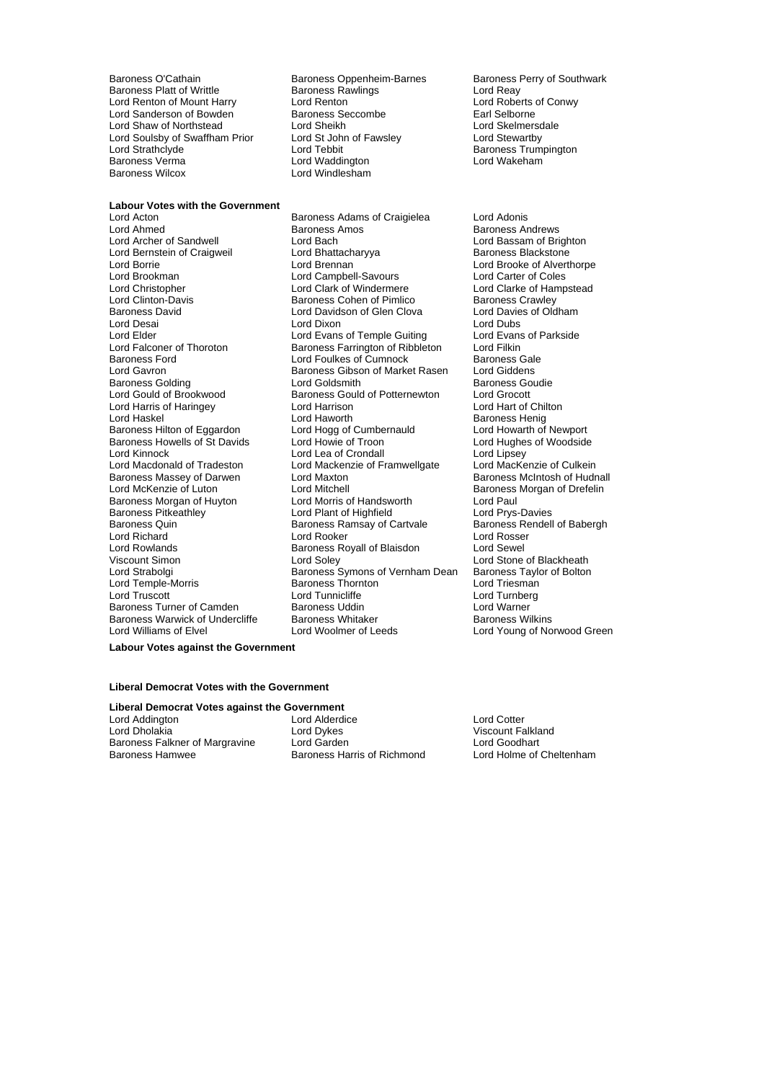Baroness O'Cathain **Baroness Oppenheim-Barnes** Baroness Perry of Southwark<br>Baroness Platt of Writtle **Baroness Rawlings** Lord Reay Baroness Platt of Writtle **Baroness Rawlings** Martian Cord Reay Theory Conservation Cord Reads and Lord Reads Rawlings Conservation Conservation Conservation Conservation Conservation Conservation Conservation Conservation Lord Renton of Mount Harry Lord Renton Cord Renton Lord Roberts of Lord Roberts of Congress Coronal Lord Roberts of Congress Coronal Lord Roberts of Congress Coronal Lord Roberts of Congress Coronal Lord Rental Selborne Lord Sanderson of Bowden Baroness Seccombe Earl Selborne<br>
Baroness Seccombe Farl Selborne<br>
Lord Sheikh Earl Sheikh Earl Sheikh Earl Sheimersdale Lord Shaw of Northstead Lord Sheikh Lord Sheikh Lord Shelmersdale<br>
Lord Soulsby of Swaffham Prior Lord St John of Fawsley Lord Stewartby Lord Soulsby of Swaffham Prior Lord St John<br>Lord Strathclyde Lord Tebbit Lord Strathclyde Lord Tebbit Baroness Trumpington<br>Baroness Trumpington<br>Baroness Verma Lord Waddington Lord Wakeham Baroness Verma Lord Waddington Baroness Wilcox Lord Windlesham

Lord Windlesham

# **Labour Votes with the Government**<br>**Lord Acton**

Lord Bernstein of Craigweil Lord Bhattach<br>
Lord Borrie<br>
Lord Brennan Baroness David **Lord Davidson of Glen Clova** Lord Harris of Haringey Lord Harrison<br>
Lord Haskel Chilton Cord Haworth Baroness Howells of St Davids Baroness Massey of Darwen Lord Rowlands<br>
Viscount Simon<br>
Lord Soley<br>
Lord Soley Baroness Warwick of Undercliffe Baroness Whitaker<br>Lord Williams of Elvel Baroness Lord Woolmer of Leeds

Lord Acton Baroness Adams of Craigielea Lord Adonis Lord Ahmed **Baroness Amos** Baroness Amos<br>
Lord Archer of Sandwell **Back** Lord Bach **Baroness Andrews**<br>
Lord Archer of Sandwell Lord Bach<br>
Lord Bhattacharyva<br>
Baroness Blackstone Lord Brookman 
Lord Carter of Coles<br>
Lord Christopher 
Lord Carter of Coles<br>
Lord Charter 
Lord Clarke of Hamp Lord Christopher **Lord Clark of Windermere** Lord Clarke of Hampstead<br>
Lord Clinton-Davis **Colomet Baroness Cohen of Pimlico** Baroness Crawley Baroness Cohen of Pimlico Baroness Crawley<br>
Lord Davidson of Glen Clova Lord Davies of Oldham Lord Desai Lord Dixon Lord Dubs Lord Elder Lord Evans of Temple Guiting Lord Evans<br>Lord Ealconer of Thoroton Baroness Earrington of Ribbleton Lord Filkin Exaroness Farrington of Ribbleton Lord Filkin<br>Lord Foulkes of Cumnock Baroness Gale Baroness Ford **Exercise Seart Concrete Concrete Concrete Concrete Concrete Concrete Concrete Concrete Concrete**<br>
Baroness Gibson of Market Rasen Lord Giddens Lord Gavron **Baroness Gibson of Market Rasen**<br>
Baroness Golding **Baroness Coldens** Lord Goldsmith Baroness Golding **Collact Lord Goldsmith** Baroness Goudie<br>
Lord Gould of Brookwood Baroness Gould of Potternewton Lord Grocott Baroness Gould of Potternewton Lord Grocott<br>
Lord Harrison **by Dorther Containstance Container**<br>
Lord Hart of Chilton Lord Haskel Lord Haworth Lord Haworth Baroness Henig<br>
Baroness Hilton of Eggardon Lord Hogg of Cumbernauld Lord Howarth of Newport Lord Hogg of Cumbernauld Lord Howarth of Newport<br>
Lord Howie of Troon Lord Hughes of Woodside Lord Kinnock **Lord Lord Lea of Crondall** Lord Lord Lipsey<br>
Lord Macdonald of Tradeston **Lord Mackenzie of Framwellgate** Lord MacKenzie of Culkein Lord Mackenzie of Framwellgate Lord MacKenzie of Culkein<br>Lord Maxton Cord Baroness McIntosh of Hudnall Lord McKenzie of Luton **Lord Mitchell** Lord Mitchell **Baroness Morgan of Drefelin**<br>
Baroness Morgan of Huyton Lord Morris of Handsworth Lord Paul Baroness Morgan of Huyton Lord Morris of Handsworth Cord Paul<br>Baroness Pitkeathlev Cord Dant of Highfield Cord Prys-Davies Baroness Pitkeathley<br>
Baroness Quin **Exercise Constructs Constructs**<br>
Baroness Rendell of Babergh<br>
Baroness Rendell of Babergh Baroness Ramsay of Cartvale Lord Richard **Communist Communist Lord Rooker** Lord Rosser<br>
Lord Rowlands **Communist Communist Communist Communist Communist Communist Communist Communist Communist Communis** Lord Strabolgi Baroness Symons of Vernham Dean Baroness Taylor of Bolton<br>Lord Temple-Morris Baroness Thornton Lord Triesman Lord Temple-Morris Baroness Thornton Lord Triesman Lord Tunnicliffe **Lord Tunnicliffe**<br>
Baroness Uddin **Lord Warner** Baroness Turner of Camden Baroness Uddin Martin Lord Warner Villamer Camden Baroness Whitaker Caroness Wilkins<br>Baroness Warwick of Undercliffe Baroness Whitaker Campioness Wilkins

Lord Brooke of Alverthorpe Lord Stone of Blackheath Lord Young of Norwood Green

**Labour Votes against the Government**

## **Liberal Democrat Votes with the Government**

# **Liberal Democrat Votes against the Government**<br>
Lord Addington **Lord Alderdice**

Lord Addington Lord Alderdice Lord Cotter Lord Dholakia Lord Dykes Viscount Falkland Baroness Falkner of Margravine Lord Garden Lord Goodhart<br>Baroness Hamwee Baroness Harris of Richmond Lord Holme of Cheltenham

Baroness Harris of Richmond